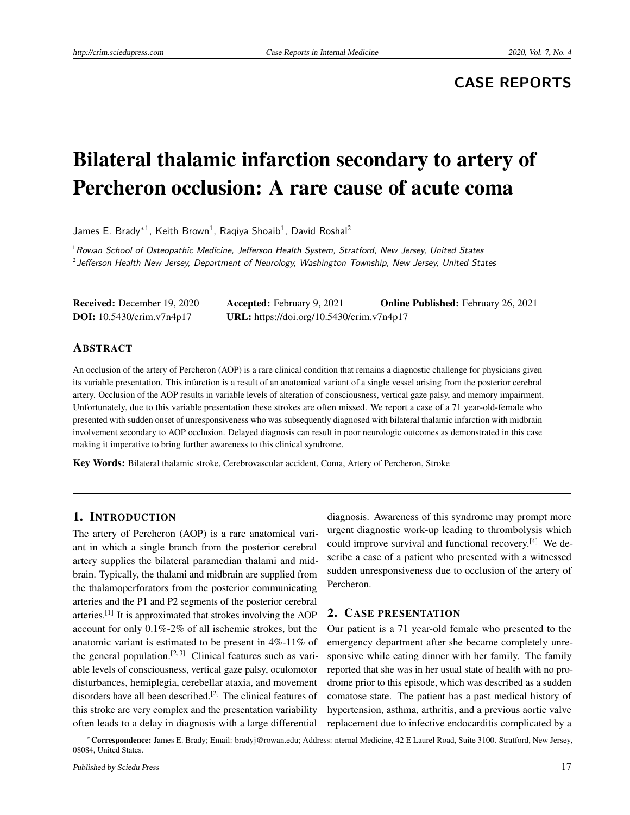## **CASE REPORTS**

# Bilateral thalamic infarction secondary to artery of Percheron occlusion: A rare cause of acute coma

James E. Brady $^{\ast}{}^{1}$ , Keith Brown $^{1}$ , Raqiya Shoaib $^{1}$ , David Roshal $^{2}$ 

 $1$ Rowan School of Osteopathic Medicine, Jefferson Health System, Stratford, New Jersey, United States 2 Jefferson Health New Jersey, Department of Neurology, Washington Township, New Jersey, United States

| <b>Received:</b> December 19, 2020 | <b>Accepted:</b> February 9, 2021         | <b>Online Published:</b> February 26, 2021 |
|------------------------------------|-------------------------------------------|--------------------------------------------|
| <b>DOI:</b> 10.5430/crim.v7n4p17   | URL: https://doi.org/10.5430/crim.v7n4p17 |                                            |

#### ABSTRACT

An occlusion of the artery of Percheron (AOP) is a rare clinical condition that remains a diagnostic challenge for physicians given its variable presentation. This infarction is a result of an anatomical variant of a single vessel arising from the posterior cerebral artery. Occlusion of the AOP results in variable levels of alteration of consciousness, vertical gaze palsy, and memory impairment. Unfortunately, due to this variable presentation these strokes are often missed. We report a case of a 71 year-old-female who presented with sudden onset of unresponsiveness who was subsequently diagnosed with bilateral thalamic infarction with midbrain involvement secondary to AOP occlusion. Delayed diagnosis can result in poor neurologic outcomes as demonstrated in this case making it imperative to bring further awareness to this clinical syndrome.

Key Words: Bilateral thalamic stroke, Cerebrovascular accident, Coma, Artery of Percheron, Stroke

#### 1. INTRODUCTION

The artery of Percheron (AOP) is a rare anatomical variant in which a single branch from the posterior cerebral artery supplies the bilateral paramedian thalami and midbrain. Typically, the thalami and midbrain are supplied from the thalamoperforators from the posterior communicating arteries and the P1 and P2 segments of the posterior cerebral arteries.<sup>[\[1\]](#page-3-0)</sup> It is approximated that strokes involving the AOP account for only 0.1%-2% of all ischemic strokes, but the anatomic variant is estimated to be present in 4%-11% of the general population.<sup>[\[2,](#page-3-1) [3\]](#page-3-2)</sup> Clinical features such as variable levels of consciousness, vertical gaze palsy, oculomotor disturbances, hemiplegia, cerebellar ataxia, and movement disorders have all been described.<sup>[\[2\]](#page-3-1)</sup> The clinical features of this stroke are very complex and the presentation variability often leads to a delay in diagnosis with a large differential

diagnosis. Awareness of this syndrome may prompt more urgent diagnostic work-up leading to thrombolysis which could improve survival and functional recovery.[\[4\]](#page-3-3) We describe a case of a patient who presented with a witnessed sudden unresponsiveness due to occlusion of the artery of Percheron.

#### 2. CASE PRESENTATION

Our patient is a 71 year-old female who presented to the emergency department after she became completely unresponsive while eating dinner with her family. The family reported that she was in her usual state of health with no prodrome prior to this episode, which was described as a sudden comatose state. The patient has a past medical history of hypertension, asthma, arthritis, and a previous aortic valve replacement due to infective endocarditis complicated by a

<sup>∗</sup>Correspondence: James E. Brady; Email: bradyj@rowan.edu; Address: nternal Medicine, 42 E Laurel Road, Suite 3100. Stratford, New Jersey, 08084, United States.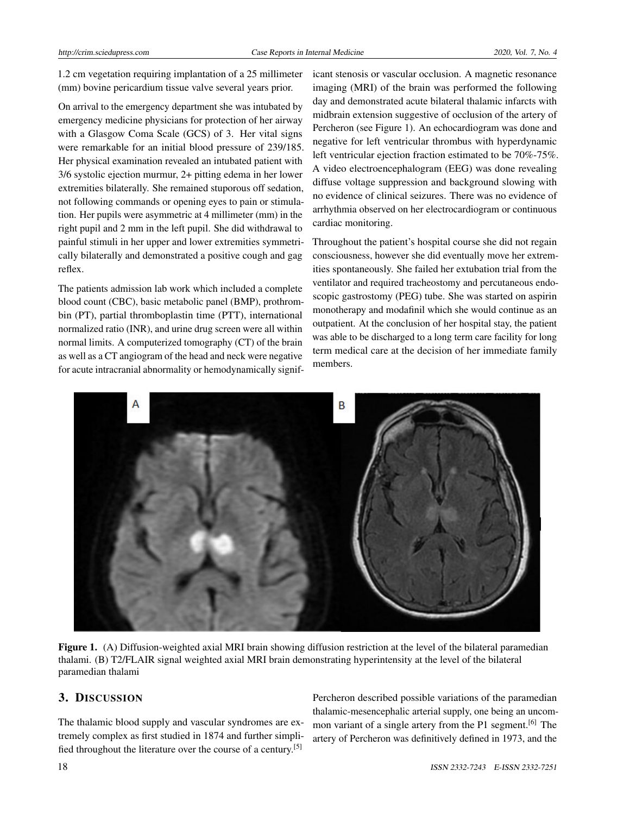1.2 cm vegetation requiring implantation of a 25 millimeter (mm) bovine pericardium tissue valve several years prior.

On arrival to the emergency department she was intubated by emergency medicine physicians for protection of her airway with a Glasgow Coma Scale (GCS) of 3. Her vital signs were remarkable for an initial blood pressure of 239/185. Her physical examination revealed an intubated patient with 3/6 systolic ejection murmur, 2+ pitting edema in her lower extremities bilaterally. She remained stuporous off sedation, not following commands or opening eyes to pain or stimulation. Her pupils were asymmetric at 4 millimeter (mm) in the right pupil and 2 mm in the left pupil. She did withdrawal to painful stimuli in her upper and lower extremities symmetrically bilaterally and demonstrated a positive cough and gag reflex.

The patients admission lab work which included a complete blood count (CBC), basic metabolic panel (BMP), prothrombin (PT), partial thromboplastin time (PTT), international normalized ratio (INR), and urine drug screen were all within normal limits. A computerized tomography (CT) of the brain as well as a CT angiogram of the head and neck were negative for acute intracranial abnormality or hemodynamically significant stenosis or vascular occlusion. A magnetic resonance imaging (MRI) of the brain was performed the following day and demonstrated acute bilateral thalamic infarcts with midbrain extension suggestive of occlusion of the artery of Percheron (see Figure 1). An echocardiogram was done and negative for left ventricular thrombus with hyperdynamic left ventricular ejection fraction estimated to be 70%-75%. A video electroencephalogram (EEG) was done revealing diffuse voltage suppression and background slowing with no evidence of clinical seizures. There was no evidence of arrhythmia observed on her electrocardiogram or continuous cardiac monitoring.

Throughout the patient's hospital course she did not regain consciousness, however she did eventually move her extremities spontaneously. She failed her extubation trial from the ventilator and required tracheostomy and percutaneous endoscopic gastrostomy (PEG) tube. She was started on aspirin monotherapy and modafinil which she would continue as an outpatient. At the conclusion of her hospital stay, the patient was able to be discharged to a long term care facility for long term medical care at the decision of her immediate family members.



Figure 1. (A) Diffusion-weighted axial MRI brain showing diffusion restriction at the level of the bilateral paramedian thalami. (B) T2/FLAIR signal weighted axial MRI brain demonstrating hyperintensity at the level of the bilateral paramedian thalami

#### 3. DISCUSSION

The thalamic blood supply and vascular syndromes are extremely complex as first studied in 1874 and further simplified throughout the literature over the course of a century.[\[5\]](#page-3-4)

Percheron described possible variations of the paramedian thalamic-mesencephalic arterial supply, one being an uncom-mon variant of a single artery from the P1 segment.<sup>[\[6\]](#page-3-5)</sup> The artery of Percheron was definitively defined in 1973, and the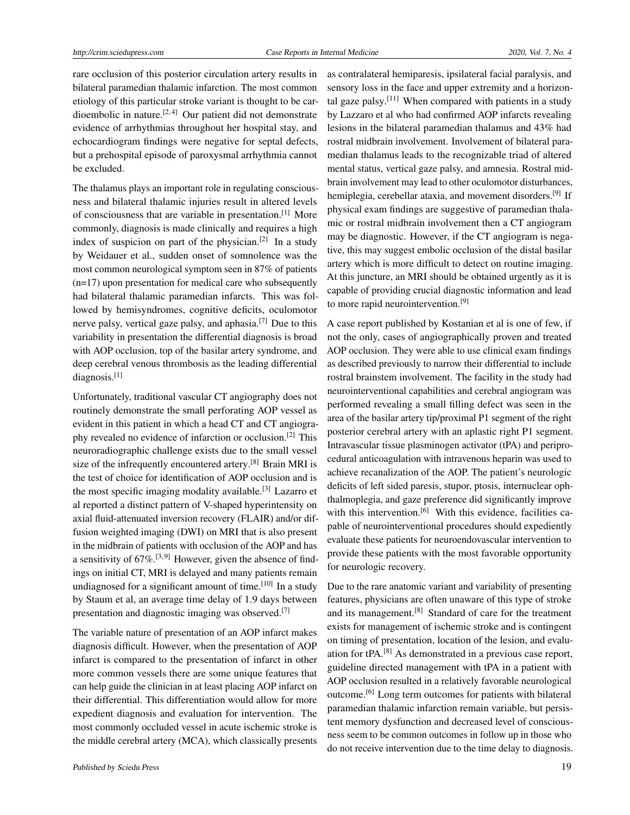rare occlusion of this posterior circulation artery results in bilateral paramedian thalamic infarction. The most common etiology of this particular stroke variant is thought to be car-dioembolic in nature.<sup>[\[2,](#page-3-1)[4\]](#page-3-3)</sup> Our patient did not demonstrate evidence of arrhythmias throughout her hospital stay, and echocardiogram findings were negative for septal defects, but a prehospital episode of paroxysmal arrhythmia cannot be excluded.

The thalamus plays an important role in regulating consciousness and bilateral thalamic injuries result in altered levels of consciousness that are variable in presentation.[\[1\]](#page-3-0) More commonly, diagnosis is made clinically and requires a high index of suspicion on part of the physician.<sup>[\[2\]](#page-3-1)</sup> In a study by Weidauer et al., sudden onset of somnolence was the most common neurological symptom seen in 87% of patients (n=17) upon presentation for medical care who subsequently had bilateral thalamic paramedian infarcts. This was followed by hemisyndromes, cognitive deficits, oculomotor nerve palsy, vertical gaze palsy, and aphasia.[\[7\]](#page-3-6) Due to this variability in presentation the differential diagnosis is broad with AOP occlusion, top of the basilar artery syndrome, and deep cerebral venous thrombosis as the leading differential diagnosis.[\[1\]](#page-3-0)

Unfortunately, traditional vascular CT angiography does not routinely demonstrate the small perforating AOP vessel as evident in this patient in which a head CT and CT angiography revealed no evidence of infarction or occlusion.[\[2\]](#page-3-1) This neuroradiographic challenge exists due to the small vessel size of the infrequently encountered artery.<sup>[\[8\]](#page-3-7)</sup> Brain MRI is the test of choice for identification of AOP occlusion and is the most specific imaging modality available.[\[3\]](#page-3-2) Lazarro et al reported a distinct pattern of V-shaped hyperintensity on axial fluid-attenuated inversion recovery (FLAIR) and/or diffusion weighted imaging (DWI) on MRI that is also present in the midbrain of patients with occlusion of the AOP and has a sensitivity of  $67\%$ .<sup>[\[3,](#page-3-2)[9\]](#page-3-8)</sup> However, given the absence of findings on initial CT, MRI is delayed and many patients remain undiagnosed for a significant amount of time.<sup>[\[10\]](#page-3-9)</sup> In a study by Staum et al, an average time delay of 1.9 days between presentation and diagnostic imaging was observed.[\[7\]](#page-3-6)

The variable nature of presentation of an AOP infarct makes diagnosis difficult. However, when the presentation of AOP infarct is compared to the presentation of infarct in other more common vessels there are some unique features that can help guide the clinician in at least placing AOP infarct on their differential. This differentiation would allow for more expedient diagnosis and evaluation for intervention. The most commonly occluded vessel in acute ischemic stroke is the middle cerebral artery (MCA), which classically presents as contralateral hemiparesis, ipsilateral facial paralysis, and sensory loss in the face and upper extremity and a horizon-tal gaze palsy.<sup>[\[11\]](#page-3-10)</sup> When compared with patients in a study by Lazzaro et al who had confirmed AOP infarcts revealing lesions in the bilateral paramedian thalamus and 43% had rostral midbrain involvement. Involvement of bilateral paramedian thalamus leads to the recognizable triad of altered mental status, vertical gaze palsy, and amnesia. Rostral midbrain involvement may lead to other oculomotor disturbances, hemiplegia, cerebellar ataxia, and movement disorders.<sup>[\[9\]](#page-3-8)</sup> If physical exam findings are suggestive of paramedian thalamic or rostral midbrain involvement then a CT angiogram may be diagnostic. However, if the CT angiogram is negative, this may suggest embolic occlusion of the distal basilar artery which is more difficult to detect on routine imaging. At this juncture, an MRI should be obtained urgently as it is capable of providing crucial diagnostic information and lead to more rapid neurointervention.<sup>[\[9\]](#page-3-8)</sup>

A case report published by Kostanian et al is one of few, if not the only, cases of angiographically proven and treated AOP occlusion. They were able to use clinical exam findings as described previously to narrow their differential to include rostral brainstem involvement. The facility in the study had neurointerventional capabilities and cerebral angiogram was performed revealing a small filling defect was seen in the area of the basilar artery tip/proximal P1 segment of the right posterior cerebral artery with an aplastic right P1 segment. Intravascular tissue plasminogen activator (tPA) and periprocedural anticoagulation with intravenous heparin was used to achieve recanalization of the AOP. The patient's neurologic deficits of left sided paresis, stupor, ptosis, internuclear ophthalmoplegia, and gaze preference did significantly improve with this intervention.<sup>[\[6\]](#page-3-5)</sup> With this evidence, facilities capable of neurointerventional procedures should expediently evaluate these patients for neuroendovascular intervention to provide these patients with the most favorable opportunity for neurologic recovery.

Due to the rare anatomic variant and variability of presenting features, physicians are often unaware of this type of stroke and its management.<sup>[\[8\]](#page-3-7)</sup> Standard of care for the treatment exists for management of ischemic stroke and is contingent on timing of presentation, location of the lesion, and evaluation for tPA.[\[8\]](#page-3-7) As demonstrated in a previous case report, guideline directed management with tPA in a patient with AOP occlusion resulted in a relatively favorable neurological outcome.[\[6\]](#page-3-5) Long term outcomes for patients with bilateral paramedian thalamic infarction remain variable, but persistent memory dysfunction and decreased level of consciousness seem to be common outcomes in follow up in those who do not receive intervention due to the time delay to diagnosis.